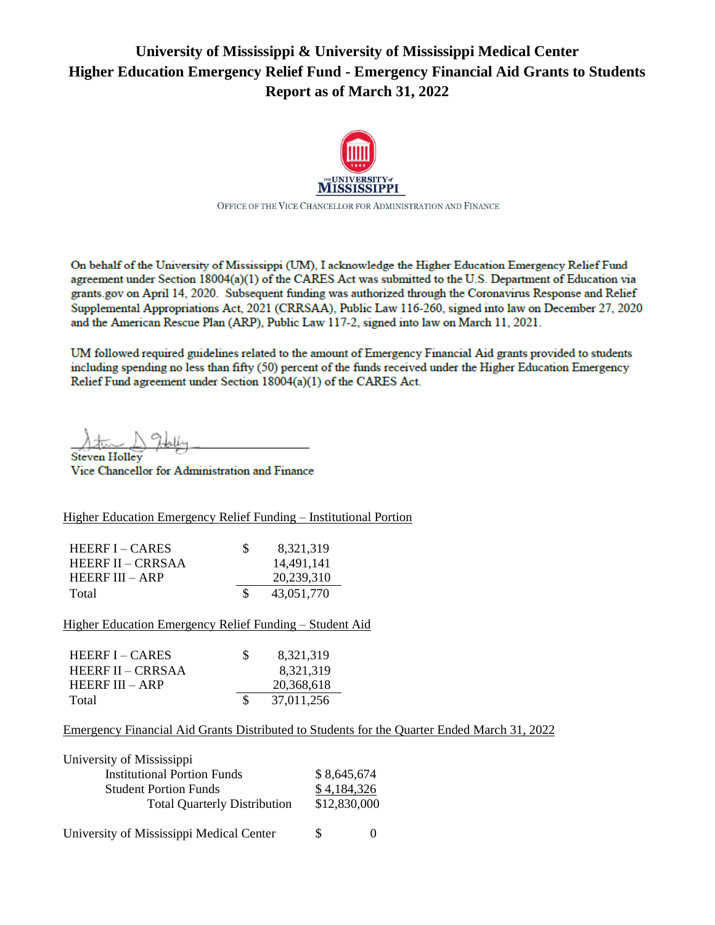# **University of Mississippi & University of Mississippi Medical Center Higher Education Emergency Relief Fund - Emergency Financial Aid Grants to Students Report as of March 31, 2022**



On behalf of the University of Mississippi (UM), I acknowledge the Higher Education Emergency Relief Fund agreement under Section 18004(a)(1) of the CARES Act was submitted to the U.S. Department of Education via grants gov on April 14, 2020. Subsequent funding was authorized through the Coronavirus Response and Relief Supplemental Appropriations Act, 2021 (CRRSAA), Public Law 116-260, signed into law on December 27, 2020 and the American Rescue Plan (ARP), Public Law 117-2, signed into law on March 11, 2021.

UM followed required guidelines related to the amount of Emergency Financial Aid grants provided to students including spending no less than fifty (50) percent of the funds received under the Higher Education Emergency Fund agreement under Section 18004(a)(1) of the CARES Act.

**Steven Holley** 

Vice Chancellor for Administration and Finance

Higher Education Emergency Relief Funding – Institutional Portion

| HEERE $I - CARES$ | <b>S</b> | 8,321,319  |
|-------------------|----------|------------|
| HEERF II – CRRSAA |          | 14,491,141 |
| HEERE $III - ARP$ |          | 20.239.310 |
| Total             |          | 43,051,770 |

Higher Education Emergency Relief Funding – Student Aid

| HEERE $I - CARES$ | S. | 8,321,319  |
|-------------------|----|------------|
| HEERE II – CRRSAA |    | 8,321,319  |
| HEERE $III - ARP$ |    | 20,368,618 |
| Total             | -S | 37,011,256 |

Emergency Financial Aid Grants Distributed to Students for the Quarter Ended March 31, 2022

| University of Mississippi           |              |
|-------------------------------------|--------------|
| <b>Institutional Portion Funds</b>  | \$8,645,674  |
| <b>Student Portion Funds</b>        | \$4,184,326  |
| <b>Total Quarterly Distribution</b> | \$12,830,000 |
|                                     |              |

University of Mississippi Medical Center  $\qquad \qquad$  \$ 0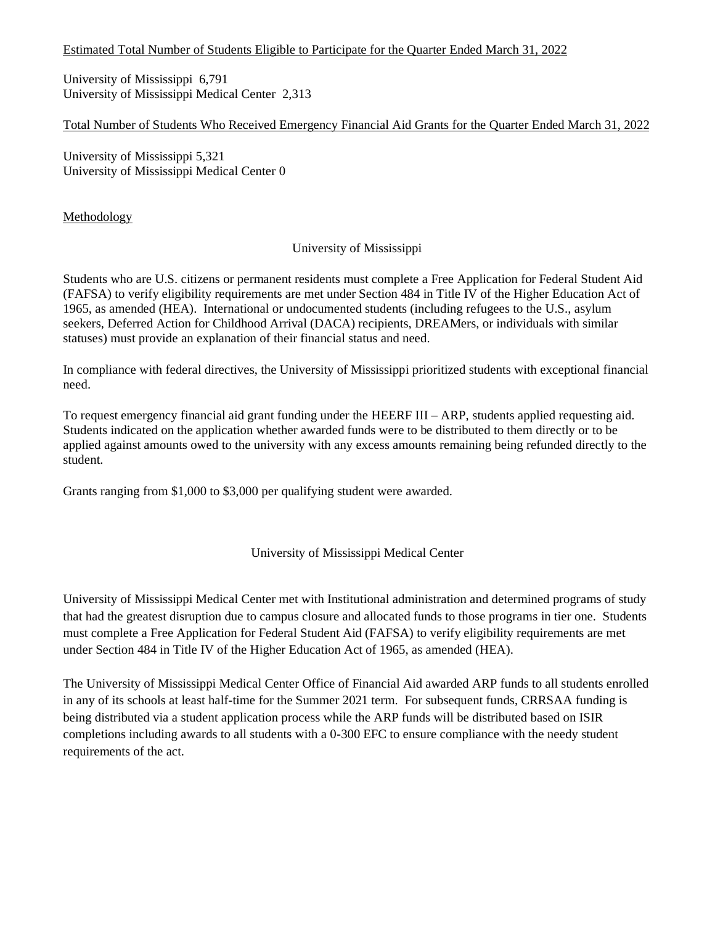#### Estimated Total Number of Students Eligible to Participate for the Quarter Ended March 31, 2022

University of Mississippi 6,791 University of Mississippi Medical Center 2,313

## Total Number of Students Who Received Emergency Financial Aid Grants for the Quarter Ended March 31, 2022

University of Mississippi 5,321 University of Mississippi Medical Center 0

**Methodology** 

## University of Mississippi

Students who are U.S. citizens or permanent residents must complete a Free Application for Federal Student Aid (FAFSA) to verify eligibility requirements are met under Section 484 in Title IV of the Higher Education Act of 1965, as amended (HEA). International or undocumented students (including refugees to the U.S., asylum seekers, Deferred Action for Childhood Arrival (DACA) recipients, DREAMers, or individuals with similar statuses) must provide an explanation of their financial status and need.

In compliance with federal directives, the University of Mississippi prioritized students with exceptional financial need.

To request emergency financial aid grant funding under the HEERF III – ARP, students applied requesting aid. Students indicated on the application whether awarded funds were to be distributed to them directly or to be applied against amounts owed to the university with any excess amounts remaining being refunded directly to the student.

Grants ranging from \$1,000 to \$3,000 per qualifying student were awarded.

## University of Mississippi Medical Center

University of Mississippi Medical Center met with Institutional administration and determined programs of study that had the greatest disruption due to campus closure and allocated funds to those programs in tier one. Students must complete a Free Application for Federal Student Aid (FAFSA) to verify eligibility requirements are met under Section 484 in Title IV of the Higher Education Act of 1965, as amended (HEA).

The University of Mississippi Medical Center Office of Financial Aid awarded ARP funds to all students enrolled in any of its schools at least half-time for the Summer 2021 term. For subsequent funds, CRRSAA funding is being distributed via a student application process while the ARP funds will be distributed based on ISIR completions including awards to all students with a 0-300 EFC to ensure compliance with the needy student requirements of the act.